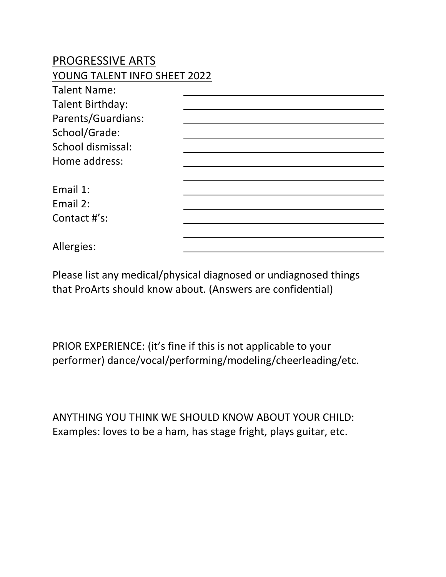## PROGRESSIVE ARTS

## YOUNG TALENT INFO SHEET 2022

| <b>Talent Name:</b>     |  |
|-------------------------|--|
| <b>Talent Birthday:</b> |  |
| Parents/Guardians:      |  |
| School/Grade:           |  |
| School dismissal:       |  |
| Home address:           |  |
|                         |  |
| Email 1:                |  |
| Email 2:                |  |
| Contact #'s:            |  |
|                         |  |
| Allergies:              |  |

Please list any medical/physical diagnosed or undiagnosed things that ProArts should know about. (Answers are confidential)

PRIOR EXPERIENCE: (it's fine if this is not applicable to your performer) dance/vocal/performing/modeling/cheerleading/etc.

ANYTHING YOU THINK WE SHOULD KNOW ABOUT YOUR CHILD: Examples: loves to be a ham, has stage fright, plays guitar, etc.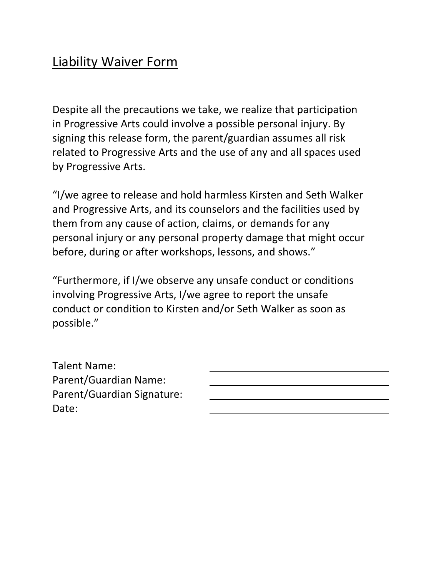## Liability Waiver Form

Despite all the precautions we take, we realize that participation in Progressive Arts could involve a possible personal injury. By signing this release form, the parent/guardian assumes all risk related to Progressive Arts and the use of any and all spaces used by Progressive Arts.

"I/we agree to release and hold harmless Kirsten and Seth Walker and Progressive Arts, and its counselors and the facilities used by them from any cause of action, claims, or demands for any personal injury or any personal property damage that might occur before, during or after workshops, lessons, and shows."

"Furthermore, if I/we observe any unsafe conduct or conditions involving Progressive Arts, I/we agree to report the unsafe conduct or condition to Kirsten and/or Seth Walker as soon as possible."

Talent Name: Parent/Guardian Name: Parent/Guardian Signature: Date: